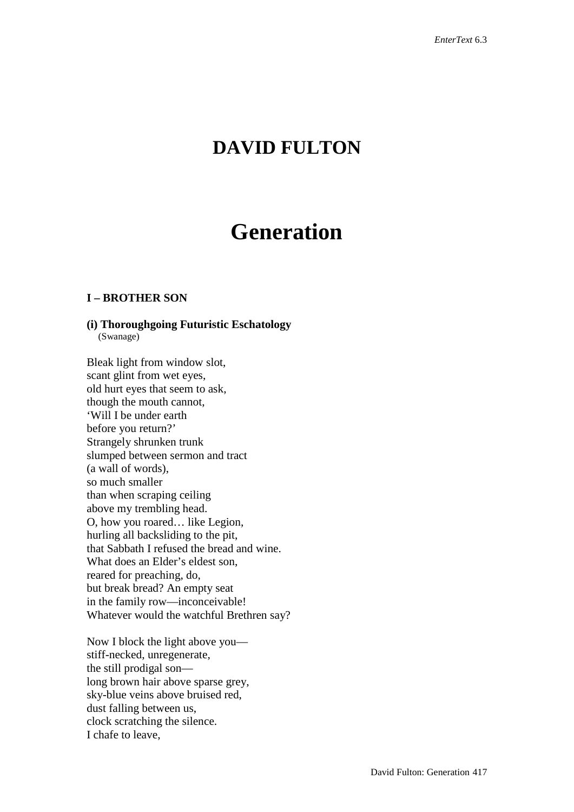# **DAVID FULTON**

# **Generation**

# **I – BROTHER SON**

# **(i) Thoroughgoing Futuristic Eschatology**

(Swanage)

Bleak light from window slot, scant glint from wet eyes, old hurt eyes that seem to ask, though the mouth cannot, 'Will I be under earth before you return?' Strangely shrunken trunk slumped between sermon and tract (a wall of words), so much smaller than when scraping ceiling above my trembling head. O, how you roared… like Legion, hurling all backsliding to the pit, that Sabbath I refused the bread and wine. What does an Elder's eldest son, reared for preaching, do, but break bread? An empty seat in the family row—inconceivable! Whatever would the watchful Brethren say?

Now I block the light above you stiff-necked, unregenerate, the still prodigal son long brown hair above sparse grey, sky-blue veins above bruised red, dust falling between us, clock scratching the silence. I chafe to leave,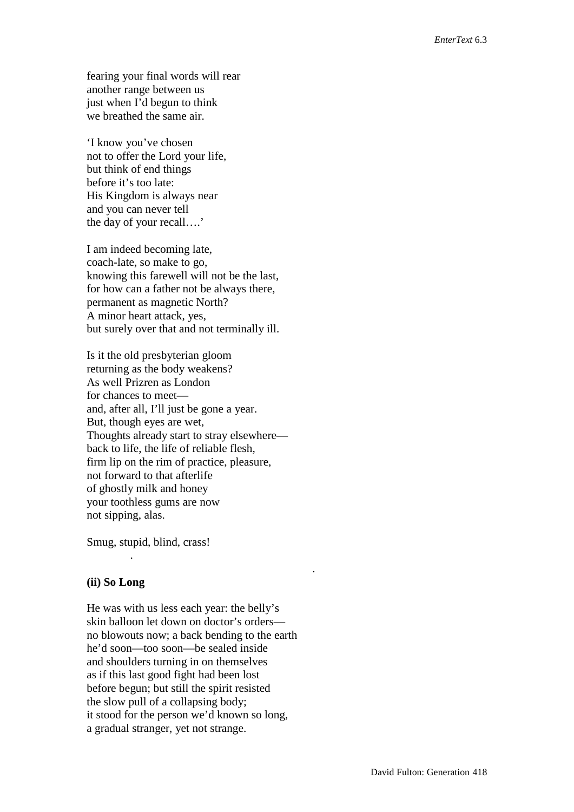fearing your final words will rear another range between us just when I'd begun to think we breathed the same air.

'I know you've chosen not to offer the Lord your life, but think of end things before it's too late: His Kingdom is always near and you can never tell the day of your recall….'

I am indeed becoming late, coach-late, so make to go, knowing this farewell will not be the last, for how can a father not be always there, permanent as magnetic North? A minor heart attack, yes, but surely over that and not terminally ill.

Is it the old presbyterian gloom returning as the body weakens? As well Prizren as London for chances to meet and, after all, I'll just be gone a year. But, though eyes are wet, Thoughts already start to stray elsewhere back to life, the life of reliable flesh, firm lip on the rim of practice, pleasure, not forward to that afterlife of ghostly milk and honey your toothless gums are now not sipping, alas.

Smug, stupid, blind, crass!

### **(ii) So Long**

.

He was with us less each year: the belly's skin balloon let down on doctor's orders no blowouts now; a back bending to the earth he'd soon—too soon—be sealed inside and shoulders turning in on themselves as if this last good fight had been lost before begun; but still the spirit resisted the slow pull of a collapsing body; it stood for the person we'd known so long, a gradual stranger, yet not strange.

.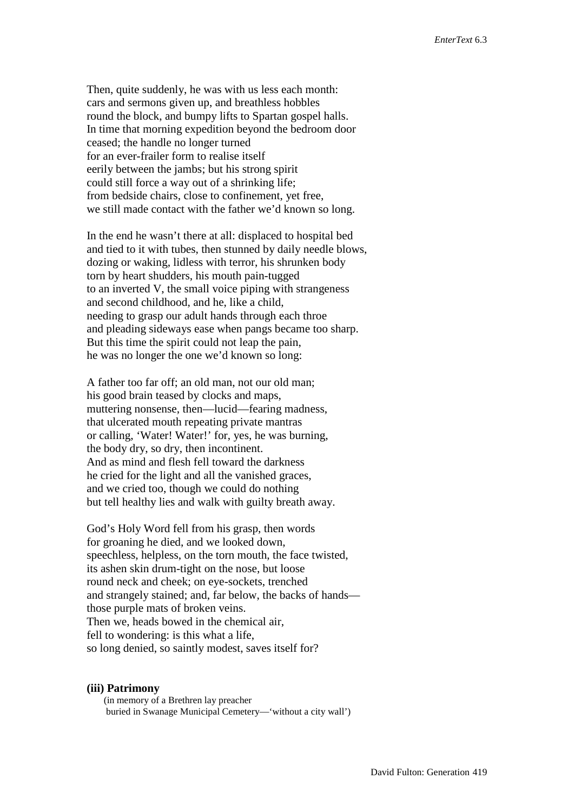Then, quite suddenly, he was with us less each month: cars and sermons given up, and breathless hobbles round the block, and bumpy lifts to Spartan gospel halls. In time that morning expedition beyond the bedroom door ceased; the handle no longer turned for an ever-frailer form to realise itself eerily between the jambs; but his strong spirit could still force a way out of a shrinking life; from bedside chairs, close to confinement, yet free, we still made contact with the father we'd known so long.

In the end he wasn't there at all: displaced to hospital bed and tied to it with tubes, then stunned by daily needle blows, dozing or waking, lidless with terror, his shrunken body torn by heart shudders, his mouth pain-tugged to an inverted V, the small voice piping with strangeness and second childhood, and he, like a child, needing to grasp our adult hands through each throe and pleading sideways ease when pangs became too sharp. But this time the spirit could not leap the pain, he was no longer the one we'd known so long:

A father too far off; an old man, not our old man; his good brain teased by clocks and maps, muttering nonsense, then—lucid—fearing madness, that ulcerated mouth repeating private mantras or calling, 'Water! Water!' for, yes, he was burning, the body dry, so dry, then incontinent. And as mind and flesh fell toward the darkness he cried for the light and all the vanished graces, and we cried too, though we could do nothing but tell healthy lies and walk with guilty breath away.

God's Holy Word fell from his grasp, then words for groaning he died, and we looked down, speechless, helpless, on the torn mouth, the face twisted, its ashen skin drum-tight on the nose, but loose round neck and cheek; on eye-sockets, trenched and strangely stained; and, far below, the backs of hands those purple mats of broken veins. Then we, heads bowed in the chemical air, fell to wondering: is this what a life, so long denied, so saintly modest, saves itself for?

#### **(iii) Patrimony**

(in memory of a Brethren lay preacher buried in Swanage Municipal Cemetery—'without a city wall')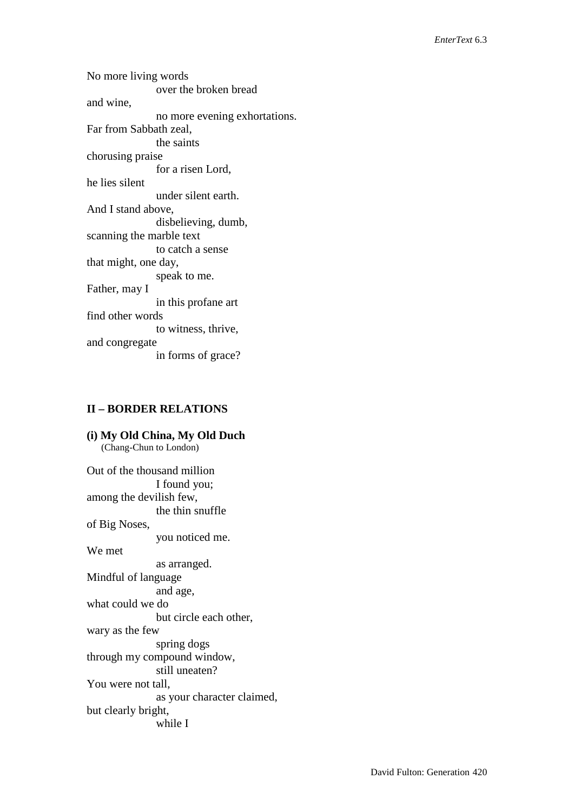No more living words over the broken bread and wine, no more evening exhortations. Far from Sabbath zeal, the saints chorusing praise for a risen Lord, he lies silent under silent earth. And I stand above, disbelieving, dumb, scanning the marble text to catch a sense that might, one day, speak to me. Father, may I in this profane art find other words to witness, thrive, and congregate in forms of grace?

#### **II – BORDER RELATIONS**

**(i) My Old China, My Old Duch** (Chang-Chun to London) Out of the thousand million I found you; among the devilish few, the thin snuffle of Big Noses, you noticed me. We met as arranged. Mindful of language and age, what could we do but circle each other, wary as the few spring dogs through my compound window, still uneaten? You were not tall, as your character claimed, but clearly bright, while I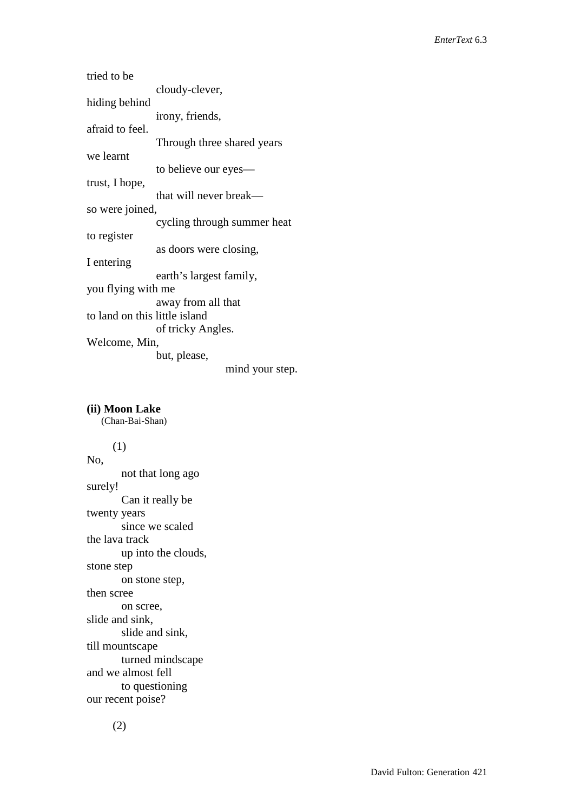tried to be cloudy-clever, hiding behind irony, friends, afraid to feel. Through three shared years we learnt to believe our eyes trust, I hope, that will never break so were joined, cycling through summer heat to register as doors were closing, I entering earth's largest family, you flying with me away from all that to land on this little island of tricky Angles. Welcome, Min, but, please, mind your step.

**(ii) Moon Lake** (Chan-Bai-Shan) (1) No, not that long ago surely! Can it really be twenty years since we scaled the lava track up into the clouds, stone step on stone step, then scree on scree, slide and sink, slide and sink, till mountscape turned mindscape and we almost fell to questioning our recent poise?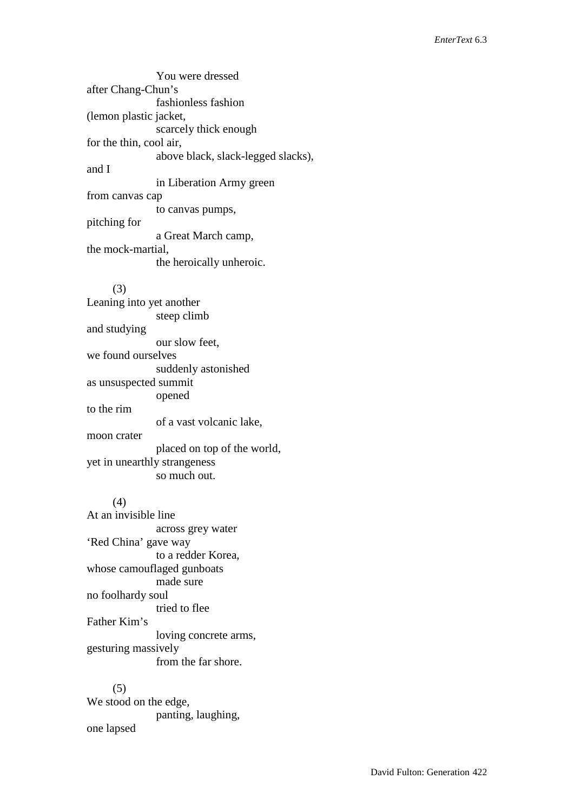You were dressed after Chang-Chun's fashionless fashion (lemon plastic jacket, scarcely thick enough for the thin, cool air, above black, slack-legged slacks), and I in Liberation Army green from canvas cap to canvas pumps, pitching for a Great March camp, the mock-martial, the heroically unheroic. (3)

Leaning into yet another steep climb and studying our slow feet, we found ourselves suddenly astonished as unsuspected summit opened to the rim of a vast volcanic lake, moon crater placed on top of the world, yet in unearthly strangeness so much out.

#### (4)

At an invisible line across grey water 'Red China' gave way to a redder Korea, whose camouflaged gunboats made sure no foolhardy soul tried to flee Father Kim's loving concrete arms, gesturing massively from the far shore.

# (5) We stood on the edge, panting, laughing, one lapsed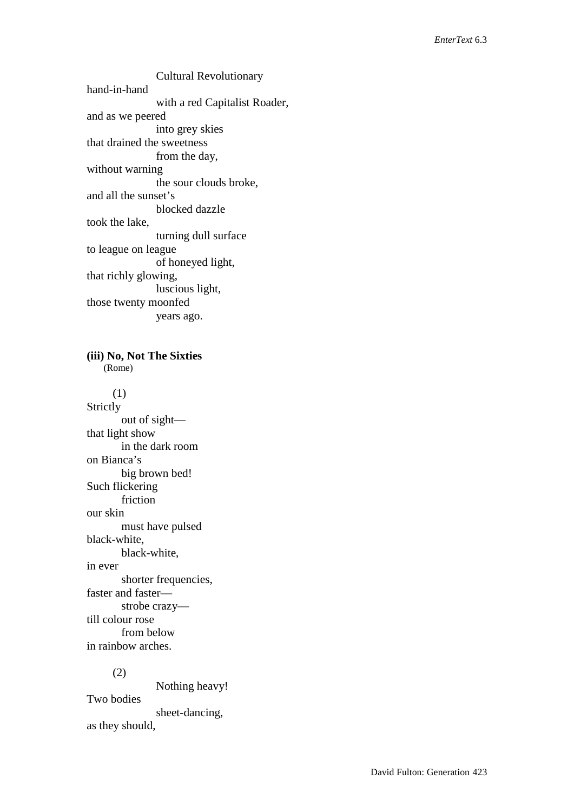Cultural Revolutionary hand-in-hand with a red Capitalist Roader, and as we peered into grey skies that drained the sweetness from the day, without warning the sour clouds broke, and all the sunset's blocked dazzle took the lake, turning dull surface to league on league of honeyed light, that richly glowing, luscious light, those twenty moonfed years ago.

**(iii) No, Not The Sixties** (Rome)

 (1) Strictly out of sight that light show in the dark room on Bianca's big brown bed! Such flickering friction our skin must have pulsed black-white, black-white, in ever shorter frequencies, faster and faster strobe crazy till colour rose from below in rainbow arches.

#### (2)

Nothing heavy! Two bodies sheet-dancing, as they should,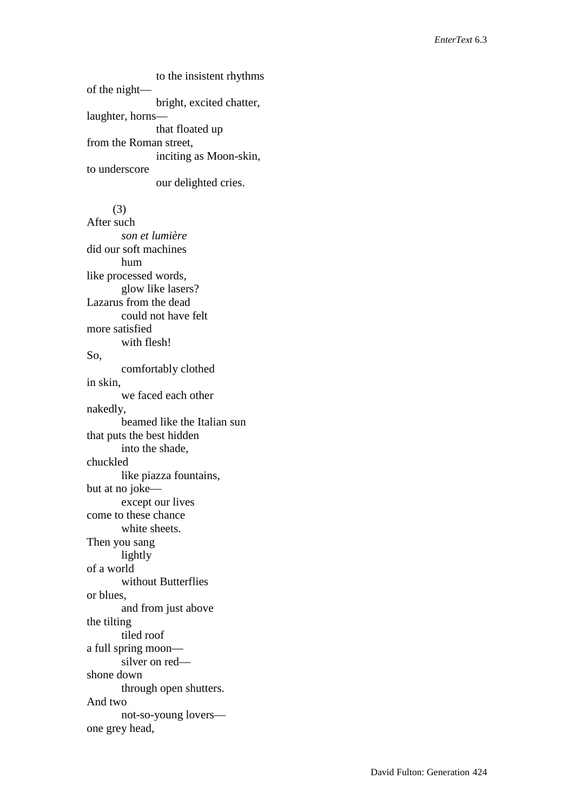to the insistent rhythms of the night bright, excited chatter, laughter, horns that floated up from the Roman street, inciting as Moon-skin, to underscore our delighted cries.

 (3) After such *son et lumière* did our soft machines hum like processed words, glow like lasers? Lazarus from the dead could not have felt more satisfied with flesh! So, comfortably clothed in skin, we faced each other nakedly, beamed like the Italian sun that puts the best hidden into the shade, chuckled like piazza fountains, but at no joke except our lives come to these chance white sheets. Then you sang lightly of a world without Butterflies or blues, and from just above the tilting tiled roof a full spring moon silver on red shone down through open shutters. And two not-so-young lovers one grey head,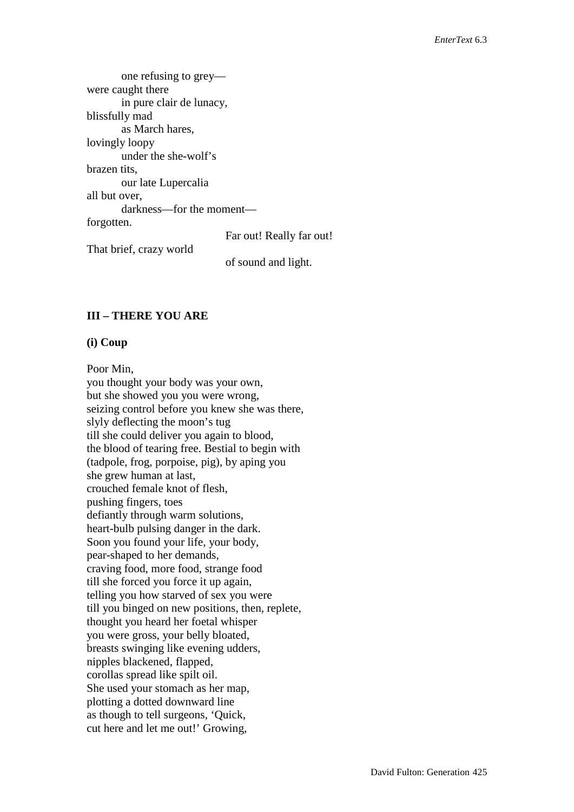one refusing to grey were caught there in pure clair de lunacy, blissfully mad as March hares, lovingly loopy under the she-wolf's brazen tits, our late Lupercalia all but over, darkness—for the moment forgotten. Far out! Really far out! That brief, crazy world of sound and light.

# **III – THERE YOU ARE**

### **(i) Coup**

Poor Min, you thought your body was your own, but she showed you you were wrong, seizing control before you knew she was there, slyly deflecting the moon's tug till she could deliver you again to blood, the blood of tearing free. Bestial to begin with (tadpole, frog, porpoise, pig), by aping you she grew human at last, crouched female knot of flesh, pushing fingers, toes defiantly through warm solutions, heart-bulb pulsing danger in the dark. Soon you found your life, your body, pear-shaped to her demands, craving food, more food, strange food till she forced you force it up again, telling you how starved of sex you were till you binged on new positions, then, replete, thought you heard her foetal whisper you were gross, your belly bloated, breasts swinging like evening udders, nipples blackened, flapped, corollas spread like spilt oil. She used your stomach as her map, plotting a dotted downward line as though to tell surgeons, 'Quick, cut here and let me out!' Growing,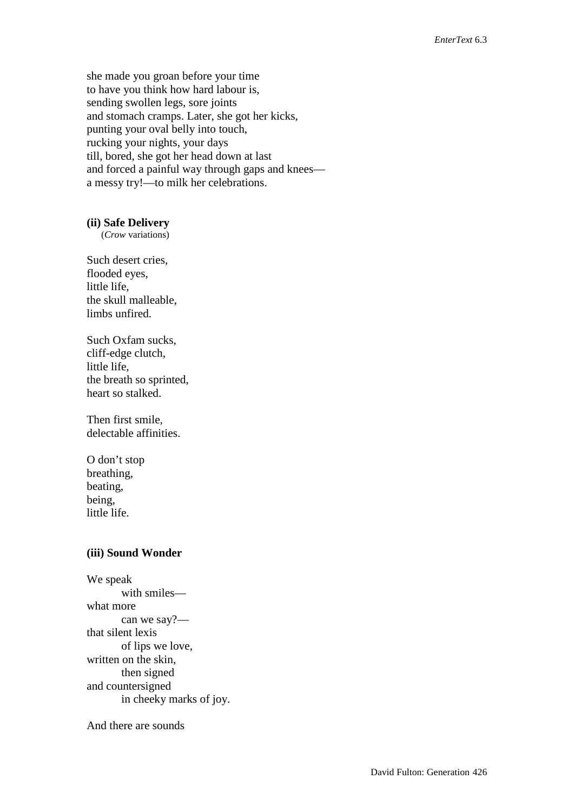she made you groan before your time to have you think how hard labour is, sending swollen legs, sore joints and stomach cramps. Later, she got her kicks, punting your oval belly into touch, rucking your nights, your days till, bored, she got her head down at last and forced a painful way through gaps and knees a messy try!—to milk her celebrations.

#### **(ii) Safe Delivery**

(*Crow* variations)

Such desert cries, flooded eyes, little life, the skull malleable, limbs unfired.

Such Oxfam sucks, cliff-edge clutch, little life, the breath so sprinted, heart so stalked.

Then first smile, delectable affinities.

O don't stop breathing, beating, being, little life.

#### **(iii) Sound Wonder**

We speak with smiles what more can we say? that silent lexis of lips we love, written on the skin, then signed and countersigned in cheeky marks of joy.

And there are sounds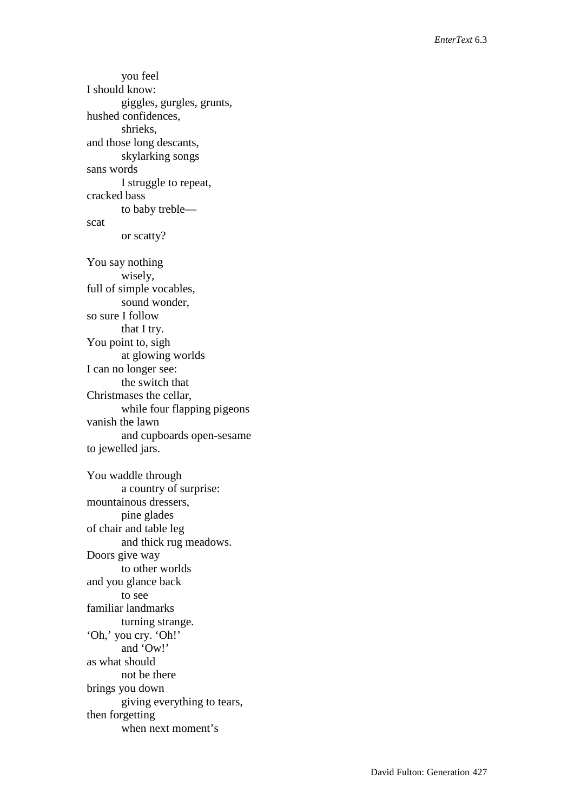you feel I should know: giggles, gurgles, grunts, hushed confidences, shrieks, and those long descants, skylarking songs sans words I struggle to repeat, cracked bass to baby treble scat or scatty? You say nothing wisely, full of simple vocables, sound wonder, so sure I follow that I try. You point to, sigh at glowing worlds I can no longer see: the switch that Christmases the cellar, while four flapping pigeons vanish the lawn and cupboards open-sesame to jewelled jars. You waddle through a country of surprise: mountainous dressers, pine glades of chair and table leg and thick rug meadows. Doors give way to other worlds and you glance back to see familiar landmarks turning strange. 'Oh,' you cry. 'Oh!' and 'Ow!' as what should not be there brings you down giving everything to tears, then forgetting when next moment's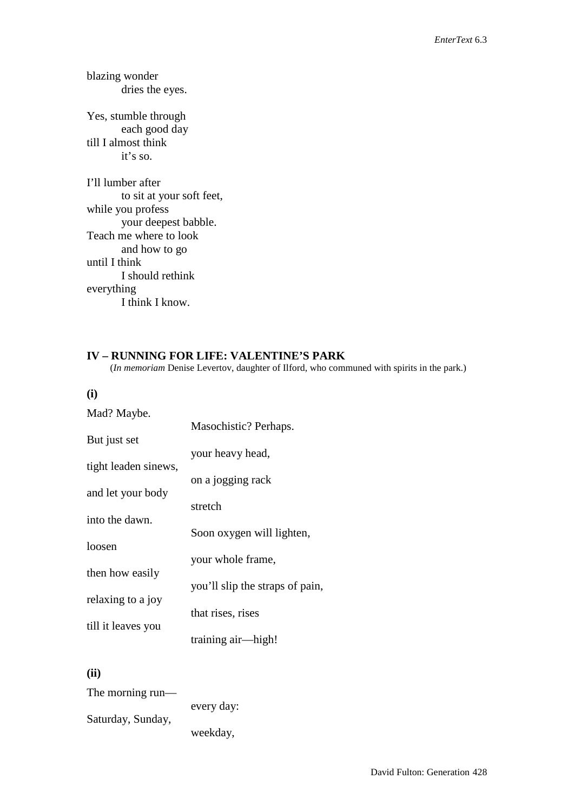blazing wonder dries the eyes.

Yes, stumble through each good day till I almost think it's so.

I'll lumber after to sit at your soft feet, while you profess your deepest babble. Teach me where to look and how to go until I think I should rethink everything I think I know.

**IV – RUNNING FOR LIFE: VALENTINE'S PARK** (*In memoriam* Denise Levertov, daughter of Ilford, who communed with spirits in the park.)

**(i)**

| Mad? Maybe.          |                                 |
|----------------------|---------------------------------|
|                      | Masochistic? Perhaps.           |
| But just set         |                                 |
| tight leaden sinews, | your heavy head,                |
|                      | on a jogging rack               |
| and let your body    |                                 |
|                      | stretch                         |
| into the dawn.       |                                 |
|                      | Soon oxygen will lighten,       |
| loosen               |                                 |
| then how easily      | your whole frame,               |
|                      | you'll slip the straps of pain, |
| relaxing to a joy    |                                 |
|                      | that rises, rises               |
| till it leaves you   | training air—high!              |
|                      |                                 |

**(ii)** 

| The morning run—  |            |
|-------------------|------------|
|                   | every day: |
| Saturday, Sunday, |            |
|                   | weekday,   |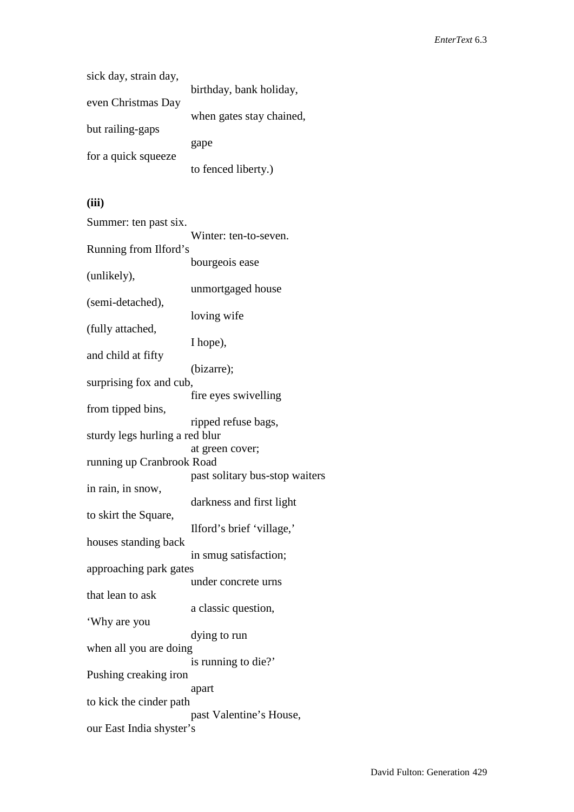| sick day, strain day, |                          |
|-----------------------|--------------------------|
|                       | birthday, bank holiday,  |
| even Christmas Day    |                          |
|                       | when gates stay chained, |
| but railing-gaps      |                          |
|                       | gape                     |
| for a quick squeeze   |                          |
|                       | to fenced liberty.)      |

# **(iii)**

| Summer: ten past six.          | Winter: ten-to-seven.          |
|--------------------------------|--------------------------------|
| Running from Ilford's          |                                |
|                                | bourgeois ease                 |
| (unlikely),                    |                                |
|                                | unmortgaged house              |
| (semi-detached),               |                                |
| (fully attached,               | loving wife                    |
|                                | I hope),                       |
| and child at fifty             |                                |
|                                | (bizarre);                     |
| surprising fox and cub,        |                                |
| from tipped bins,              | fire eyes swivelling           |
|                                | ripped refuse bags,            |
| sturdy legs hurling a red blur |                                |
|                                | at green cover;                |
| running up Cranbrook Road      |                                |
| in rain, in snow,              | past solitary bus-stop waiters |
|                                | darkness and first light       |
| to skirt the Square,           |                                |
|                                | Ilford's brief 'village,'      |
| houses standing back           |                                |
| approaching park gates         | in smug satisfaction;          |
|                                | under concrete urns            |
| that lean to ask               |                                |
|                                | a classic question,            |
| 'Why are you                   |                                |
|                                | dying to run                   |
| when all you are doing         | is running to die?'            |
| Pushing creaking iron          |                                |
|                                | apart                          |
| to kick the cinder path        |                                |
| our East India shyster's       | past Valentine's House,        |
|                                |                                |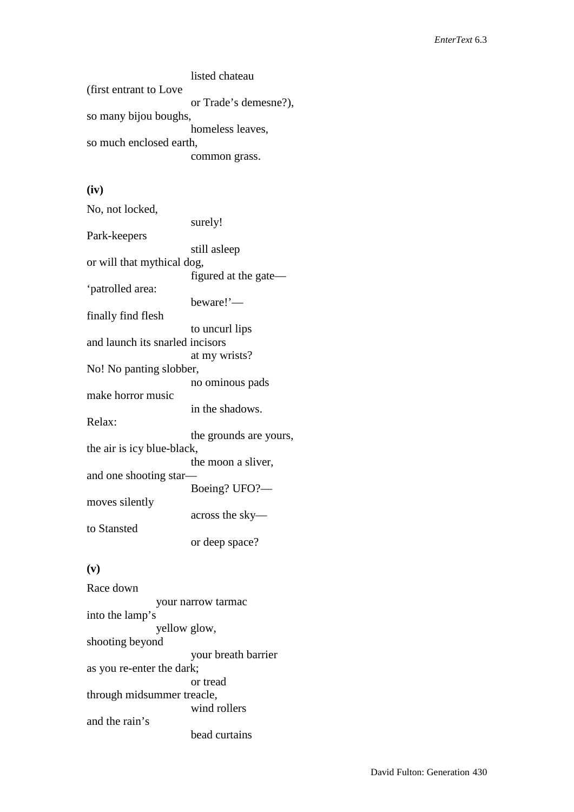listed chateau (first entrant to Love or Trade's demesne?), so many bijou boughs, homeless leaves, so much enclosed earth, common grass.

# **(iv)**

| No, not locked,                 |                        |
|---------------------------------|------------------------|
|                                 | surely!                |
| Park-keepers                    |                        |
|                                 | still asleep           |
| or will that mythical dog,      |                        |
|                                 | figured at the gate—   |
| 'patrolled area:                |                        |
|                                 | beware!'—              |
| finally find flesh              |                        |
|                                 | to uncurl lips         |
| and launch its snarled incisors |                        |
|                                 | at my wrists?          |
| No! No panting slobber,         |                        |
|                                 | no ominous pads        |
| make horror music               |                        |
|                                 | in the shadows.        |
| Relax:                          |                        |
|                                 | the grounds are yours, |
| the air is icy blue-black,      |                        |
|                                 | the moon a sliver,     |
| and one shooting star-          |                        |
|                                 | Boeing? UFO?-          |
| moves silently                  |                        |
|                                 | across the sky-        |
| to Stansted                     |                        |
|                                 | or deep space?         |
|                                 |                        |

# **(v)**

Race down your narrow tarmac into the lamp's yellow glow, shooting beyond your breath barrier as you re-enter the dark; or tread through midsummer treacle, wind rollers and the rain's bead curtains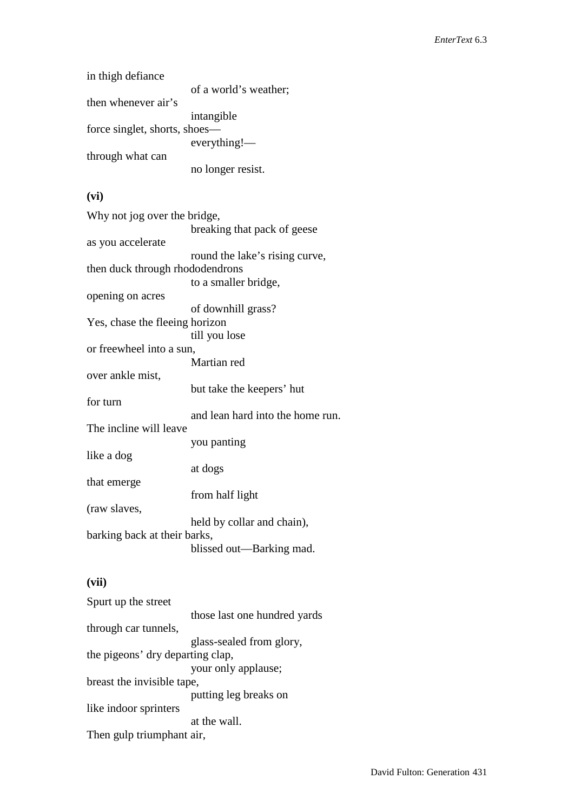| in thigh defiance             |                       |
|-------------------------------|-----------------------|
|                               | of a world's weather; |
| then whenever air's           |                       |
|                               | intangible            |
| force singlet, shorts, shoes— |                       |
|                               | everything!           |
| through what can              |                       |
|                               | no longer resist.     |

# **(vi)**

| Why not jog over the bridge,    |                                  |
|---------------------------------|----------------------------------|
|                                 | breaking that pack of geese      |
| as you accelerate               |                                  |
|                                 | round the lake's rising curve,   |
| then duck through rhododendrons |                                  |
|                                 | to a smaller bridge,             |
| opening on acres                |                                  |
|                                 | of downhill grass?               |
| Yes, chase the fleeing horizon  |                                  |
|                                 | till you lose                    |
| or freewheel into a sun,        |                                  |
|                                 | Martian red                      |
| over ankle mist,                |                                  |
|                                 | but take the keepers' hut        |
| for turn                        |                                  |
|                                 | and lean hard into the home run. |
| The incline will leave          |                                  |
|                                 | you panting                      |
| like a dog                      |                                  |
|                                 | at dogs                          |
| that emerge                     |                                  |
|                                 | from half light                  |
| (raw slaves,                    |                                  |
|                                 | held by collar and chain),       |
| barking back at their barks,    |                                  |
|                                 | blissed out—Barking mad.         |

# **(vii)**

| Spurt up the street              |                              |
|----------------------------------|------------------------------|
|                                  | those last one hundred yards |
| through car tunnels,             |                              |
|                                  | glass-sealed from glory,     |
| the pigeons' dry departing clap, |                              |
|                                  | your only applause;          |
| breast the invisible tape,       |                              |
|                                  | putting leg breaks on        |
| like indoor sprinters            |                              |
|                                  | at the wall.                 |
| Then gulp triumphant air,        |                              |
|                                  |                              |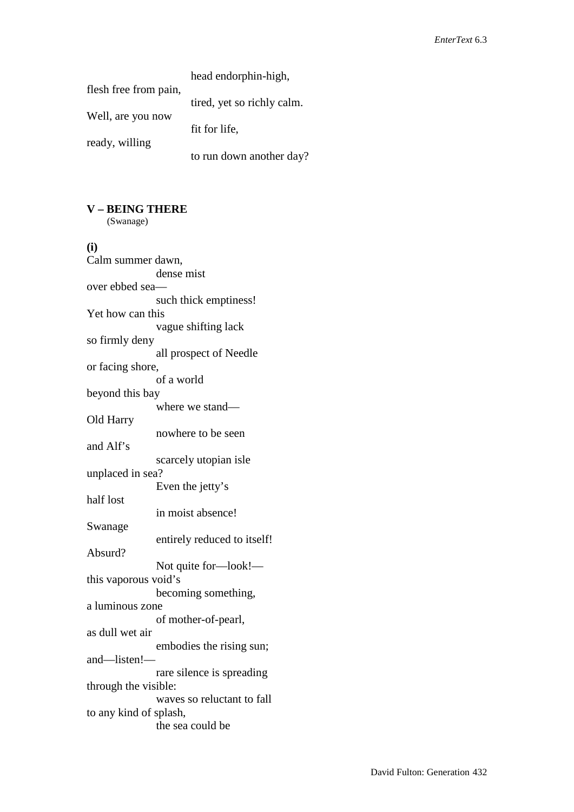|                       | head endorphin-high,       |
|-----------------------|----------------------------|
| flesh free from pain, |                            |
|                       | tired, yet so richly calm. |
| Well, are you now     |                            |
|                       | fit for life,              |
| ready, willing        |                            |
|                       | to run down another day?   |

# **V – BEING THERE**

(Swanage)

## **(i)**

| Calm summer dawn,      |                             |
|------------------------|-----------------------------|
|                        | dense mist                  |
| over ebbed sea-        |                             |
|                        | such thick emptiness!       |
| Yet how can this       |                             |
|                        | vague shifting lack         |
| so firmly deny         |                             |
|                        | all prospect of Needle      |
| or facing shore,       |                             |
|                        | of a world                  |
| beyond this bay        |                             |
|                        | where we stand-             |
| Old Harry              |                             |
|                        | nowhere to be seen          |
| and Alf's              |                             |
|                        | scarcely utopian isle       |
| unplaced in sea?       |                             |
|                        | Even the jetty's            |
| half lost              |                             |
|                        | in moist absence!           |
| Swanage                |                             |
|                        | entirely reduced to itself! |
| Absurd?                |                             |
|                        | Not quite for-look!-        |
| this vaporous void's   |                             |
|                        | becoming something,         |
| a luminous zone        |                             |
|                        | of mother-of-pearl,         |
| as dull wet air        |                             |
|                        | embodies the rising sun;    |
| and-listen!-           |                             |
|                        | rare silence is spreading   |
| through the visible:   |                             |
|                        | waves so reluctant to fall  |
| to any kind of splash, |                             |
|                        | the sea could be            |